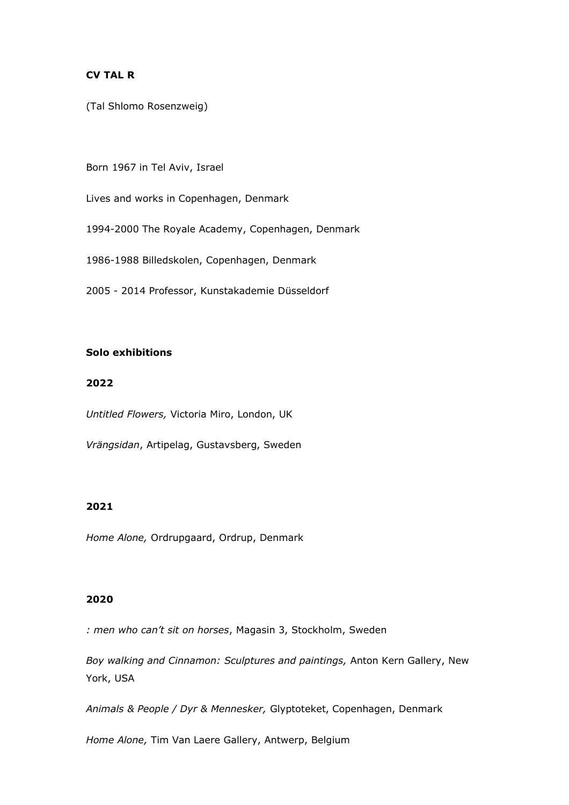### **CV TAL R**

(Tal Shlomo Rosenzweig)

Born 1967 in Tel Aviv, Israel

Lives and works in Copenhagen, Denmark

1994-2000 The Royale Academy, Copenhagen, Denmark

1986-1988 Billedskolen, Copenhagen, Denmark

2005 - 2014 Professor, Kunstakademie Düsseldorf

# **Solo exhibitions**

## **2022**

*Untitled Flowers,* Victoria Miro, London, UK

*Vrängsidan*, Artipelag, Gustavsberg, Sweden

### **2021**

*Home Alone,* Ordrupgaard, Ordrup, Denmark

### **2020**

*: men who can't sit on horses*, Magasin 3, Stockholm, Sweden

*Boy walking and Cinnamon: Sculptures and paintings,* Anton Kern Gallery, New York, USA

*Animals & People / Dyr & Mennesker,* Glyptoteket, Copenhagen, Denmark

*Home Alone,* Tim Van Laere Gallery, Antwerp, Belgium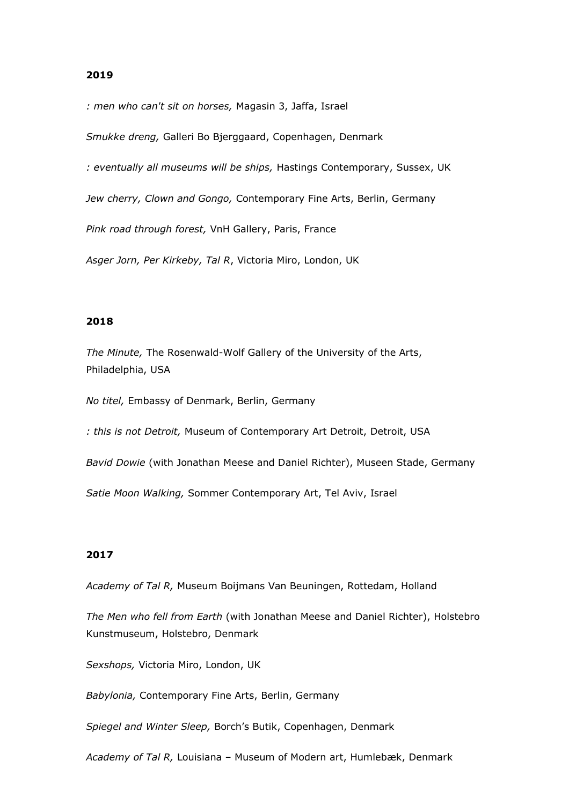*: men who can't sit on horses,* Magasin 3, Jaffa, Israel

*Smukke dreng,* Galleri Bo Bjerggaard, Copenhagen, Denmark

*: eventually all museums will be ships,* Hastings Contemporary, Sussex, UK

*Jew cherry, Clown and Gongo,* Contemporary Fine Arts, Berlin, Germany

*Pink road through forest,* VnH Gallery, Paris, France

*Asger Jorn, Per Kirkeby, Tal R*, Victoria Miro, London, UK

### **2018**

*The Minute,* The Rosenwald-Wolf Gallery of the University of the Arts, Philadelphia, USA

*No titel,* Embassy of Denmark, Berlin, Germany

*: this is not Detroit,* Museum of Contemporary Art Detroit, Detroit, USA

*Bavid Dowie* (with Jonathan Meese and Daniel Richter), Museen Stade, Germany

*Satie Moon Walking,* Sommer Contemporary Art, Tel Aviv, Israel

### **2017**

*Academy of Tal R,* Museum Boijmans Van Beuningen, Rottedam, Holland

*The Men who fell from Earth* (with Jonathan Meese and Daniel Richter), Holstebro Kunstmuseum, Holstebro, Denmark

*Sexshops,* Victoria Miro, London, UK

*Babylonia,* Contemporary Fine Arts, Berlin, Germany

*Spiegel and Winter Sleep,* Borch's Butik, Copenhagen, Denmark

*Academy of Tal R,* Louisiana – Museum of Modern art, Humlebæk, Denmark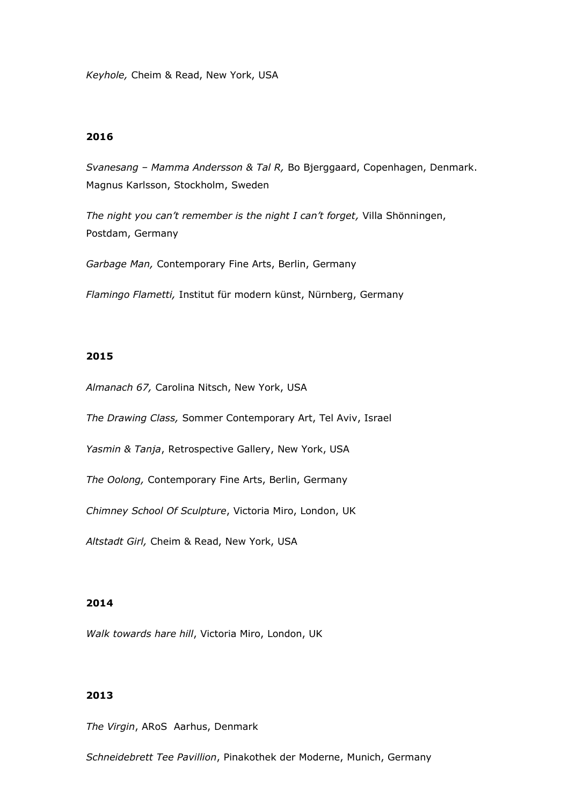*Keyhole,* Cheim & Read, New York, USA

### **2016**

*Svanesang – Mamma Andersson & Tal R,* Bo Bjerggaard, Copenhagen, Denmark. Magnus Karlsson, Stockholm, Sweden

*The night you can't remember is the night I can't forget,* Villa Shönningen, Postdam, Germany

*Garbage Man,* Contemporary Fine Arts, Berlin, Germany

*Flamingo Flametti,* Institut für modern künst, Nürnberg, Germany

#### **2015**

*Almanach 67,* Carolina Nitsch, New York, USA

*The Drawing Class,* Sommer Contemporary Art, Tel Aviv, Israel

*Yasmin & Tanja*, Retrospective Gallery, New York, USA

*The Oolong,* Contemporary Fine Arts, Berlin, Germany

*Chimney School Of Sculpture*, Victoria Miro, London, UK

*Altstadt Girl,* Cheim & Read, New York, USA

# **2014**

*Walk towards hare hill*, Victoria Miro, London, UK

## **2013**

*The Virgin*, ARoS Aarhus, Denmark

*Schneidebrett Tee Pavillion*, Pinakothek der Moderne, Munich, Germany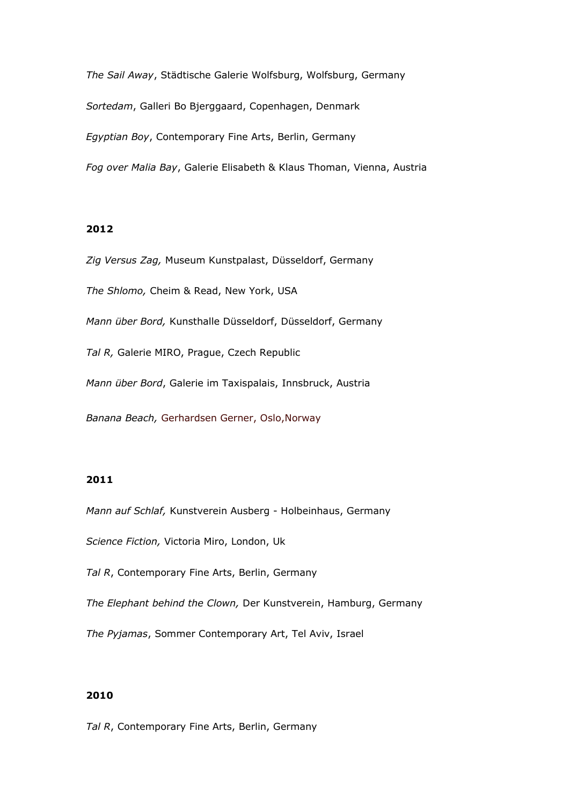*The Sail Away*, Städtische Galerie Wolfsburg, Wolfsburg, Germany *Sortedam*, Galleri Bo Bjerggaard, Copenhagen, Denmark *Egyptian Boy*, Contemporary Fine Arts, Berlin, Germany *Fog over Malia Bay*, Galerie Elisabeth & Klaus Thoman, Vienna, Austria

# **2012**

*Zig Versus Zag,* Museum Kunstpalast, Düsseldorf, Germany

*The Shlomo,* Cheim & Read, New York, USA

*Mann über Bord,* Kunsthalle Düsseldorf, Düsseldorf, Germany

*Tal R,* Galerie MIRO, Prague, Czech Republic

*Mann über Bord*, Galerie im Taxispalais, Innsbruck, Austria

*Banana Beach,* Gerhardsen Gerner, Oslo,Norway

# **2011**

*Mann auf Schlaf,* Kunstverein Ausberg - Holbeinhaus, Germany

*Science Fiction,* Victoria Miro, London, Uk

*Tal R*, Contemporary Fine Arts, Berlin, Germany

*The Elephant behind the Clown,* Der Kunstverein, Hamburg, Germany

*The Pyjamas*, Sommer Contemporary Art, Tel Aviv, Israel

## **2010**

*Tal R*, Contemporary Fine Arts, Berlin, Germany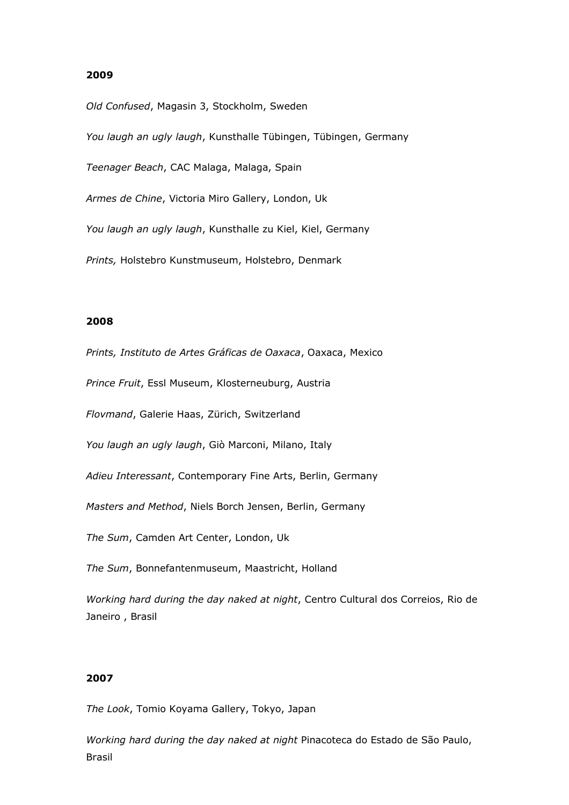*Old Confused*, Magasin 3, Stockholm, Sweden

*You laugh an ugly laugh*, Kunsthalle Tübingen, Tübingen, Germany

*Teenager Beach*, CAC Malaga, Malaga, Spain

*Armes de Chine*, Victoria Miro Gallery, London, Uk

*You laugh an ugly laugh*, Kunsthalle zu Kiel, Kiel, Germany

*Prints,* Holstebro Kunstmuseum, Holstebro, Denmark

### **2008**

*Prints, Instituto de Artes Gráficas de Oaxaca*, Oaxaca, Mexico

*Prince Fruit*, Essl Museum, Klosterneuburg, Austria

*Flovmand*, Galerie Haas, Zürich, Switzerland

*You laugh an ugly laugh*, Giò Marconi, Milano, Italy

*Adieu Interessant*, Contemporary Fine Arts, Berlin, Germany

*Masters and Method*, Niels Borch Jensen, Berlin, Germany

*The Sum*, Camden Art Center, London, Uk

*The Sum*, Bonnefantenmuseum, Maastricht, Holland

*Working hard during the day naked at night*, Centro Cultural dos Correios, Rio de Janeiro , Brasil

### **2007**

*The Look*, Tomio Koyama Gallery, Tokyo, Japan

*Working hard during the day naked at night* Pinacoteca do Estado de São Paulo, Brasil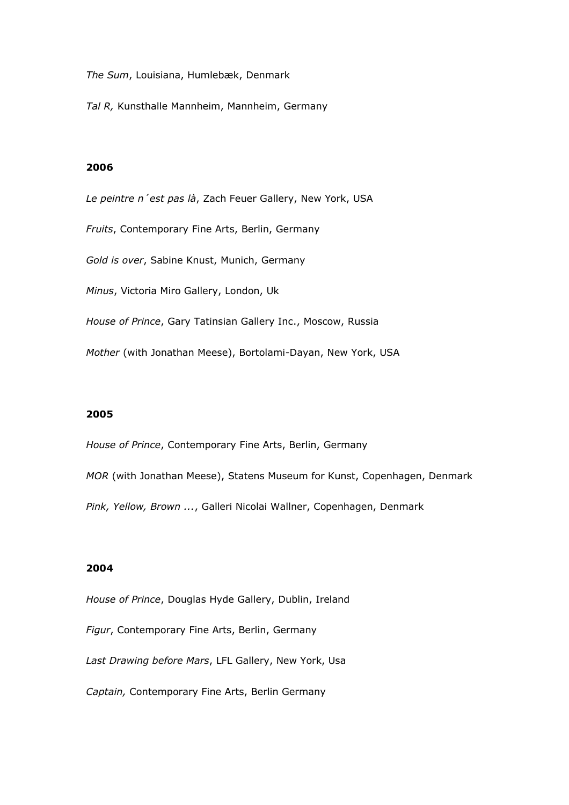*The Sum*, Louisiana, Humlebæk, Denmark

*Tal R,* Kunsthalle Mannheim, Mannheim, Germany

# **2006**

*Le peintre n´est pas là*, Zach Feuer Gallery, New York, USA *Fruits*, Contemporary Fine Arts, Berlin, Germany *Gold is over*, Sabine Knust, Munich, Germany *Minus*, Victoria Miro Gallery, London, Uk *House of Prince*, Gary Tatinsian Gallery Inc., Moscow, Russia *Mother* (with Jonathan Meese), Bortolami-Dayan, New York, USA

### **2005**

*House of Prince*, Contemporary Fine Arts, Berlin, Germany *MOR* (with Jonathan Meese), Statens Museum for Kunst, Copenhagen, Denmark *Pink, Yellow, Brown ...*, Galleri Nicolai Wallner, Copenhagen, Denmark

#### **2004**

*House of Prince*, Douglas Hyde Gallery, Dublin, Ireland *Figur*, Contemporary Fine Arts, Berlin, Germany *Last Drawing before Mars*, LFL Gallery, New York, Usa *Captain,* Contemporary Fine Arts, Berlin Germany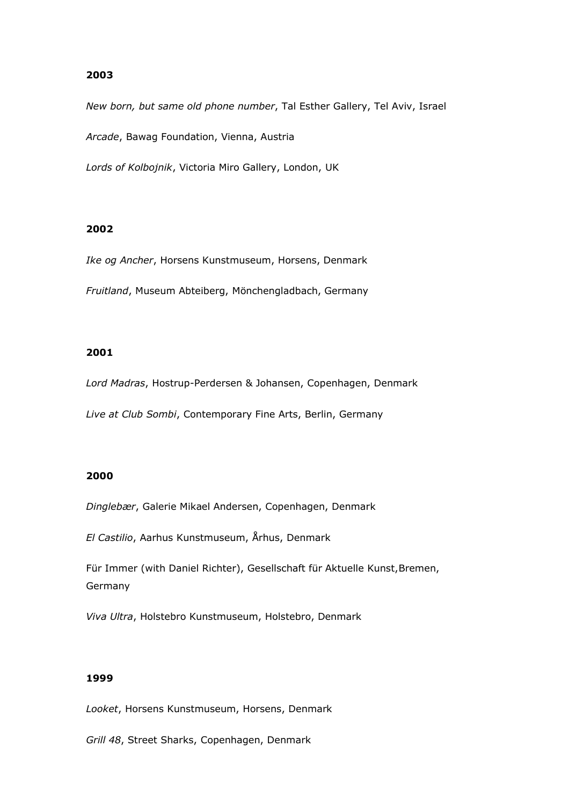*New born, but same old phone number*, Tal Esther Gallery, Tel Aviv, Israel

*Arcade*, Bawag Foundation, Vienna, Austria

*Lords of Kolbojnik*, Victoria Miro Gallery, London, UK

## **2002**

*Ike og Ancher*, Horsens Kunstmuseum, Horsens, Denmark

*Fruitland*, Museum Abteiberg, Mönchengladbach, Germany

## **2001**

*Lord Madras*, Hostrup-Perdersen & Johansen, Copenhagen, Denmark *Live at Club Sombi*, Contemporary Fine Arts, Berlin, Germany

# **2000**

*Dinglebær*, Galerie Mikael Andersen, Copenhagen, Denmark

*El Castilio*, Aarhus Kunstmuseum, Århus, Denmark

Für Immer (with Daniel Richter), Gesellschaft für Aktuelle Kunst,Bremen, Germany

*Viva Ultra*, Holstebro Kunstmuseum, Holstebro, Denmark

### **1999**

*Looket*, Horsens Kunstmuseum, Horsens, Denmark

*Grill 48*, Street Sharks, Copenhagen, Denmark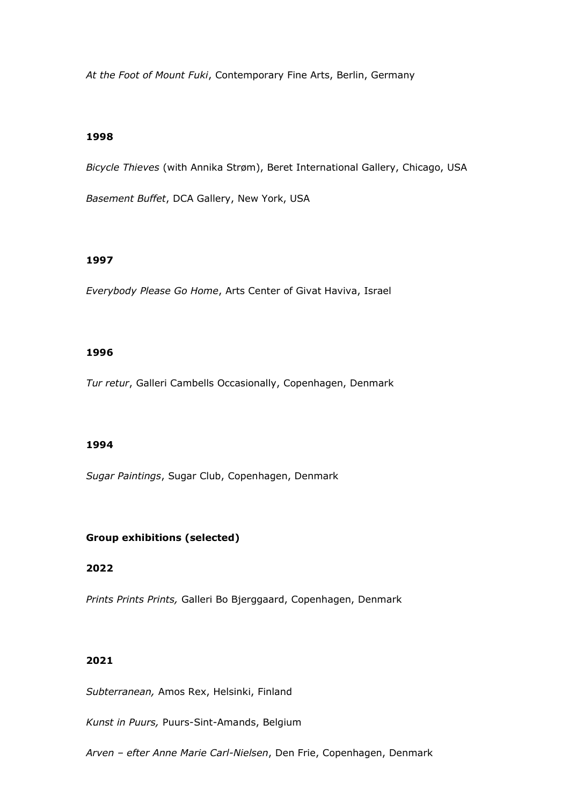*At the Foot of Mount Fuki*, Contemporary Fine Arts, Berlin, Germany

### **1998**

*Bicycle Thieves* (with Annika Strøm), Beret International Gallery, Chicago, USA

*Basement Buffet*, DCA Gallery, New York, USA

#### **1997**

*Everybody Please Go Home*, Arts Center of Givat Haviva, Israel

# **1996**

*Tur retur*, Galleri Cambells Occasionally, Copenhagen, Denmark

#### **1994**

*Sugar Paintings*, Sugar Club, Copenhagen, Denmark

## **Group exhibitions (selected)**

# **2022**

*Prints Prints Prints,* Galleri Bo Bjerggaard, Copenhagen, Denmark

### **2021**

*Subterranean,* Amos Rex, Helsinki, Finland

*Kunst in Puurs,* Puurs-Sint-Amands, Belgium

*Arven – efter Anne Marie Carl-Nielsen*, Den Frie, Copenhagen, Denmark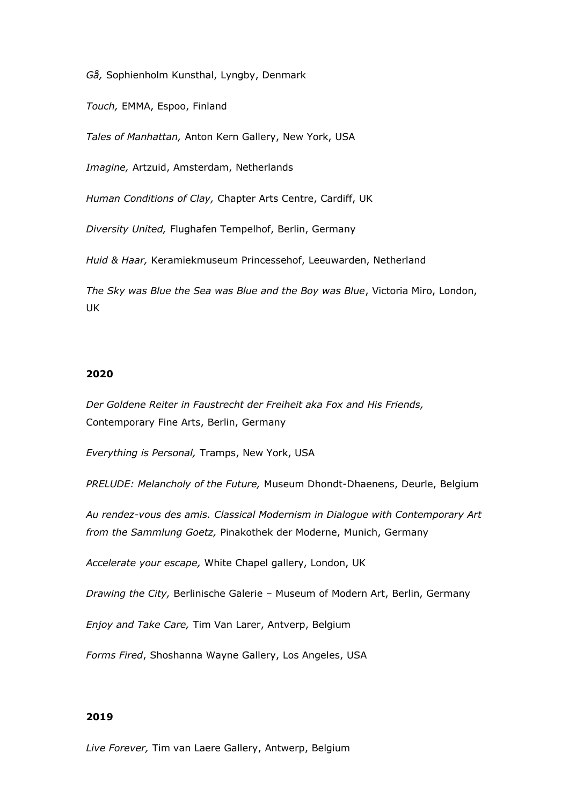*Gå,* Sophienholm Kunsthal, Lyngby, Denmark

*Touch,* EMMA, Espoo, Finland

*Tales of Manhattan,* Anton Kern Gallery, New York, USA

*Imagine,* Artzuid, Amsterdam, Netherlands

*Human Conditions of Clay,* Chapter Arts Centre, Cardiff, UK

*Diversity United,* Flughafen Tempelhof, Berlin, Germany

*Huid & Haar,* Keramiekmuseum Princessehof, Leeuwarden, Netherland

*The Sky was Blue the Sea was Blue and the Boy was Blue*, Victoria Miro, London, UK

# **2020**

*Der Goldene Reiter in Faustrecht der Freiheit aka Fox and His Friends,*  Contemporary Fine Arts, Berlin, Germany

*Everything is Personal,* Tramps, New York, USA

*PRELUDE: Melancholy of the Future,* Museum Dhondt-Dhaenens, Deurle, Belgium

*Au rendez-vous des amis. Classical Modernism in Dialogue with Contemporary Art from the Sammlung Goetz,* Pinakothek der Moderne, Munich, Germany

*Accelerate your escape,* White Chapel gallery, London, UK

*Drawing the City,* Berlinische Galerie – Museum of Modern Art, Berlin, Germany

*Enjoy and Take Care,* Tim Van Larer, Antverp, Belgium

*Forms Fired*, Shoshanna Wayne Gallery, Los Angeles, USA

#### **2019**

*Live Forever,* Tim van Laere Gallery, Antwerp, Belgium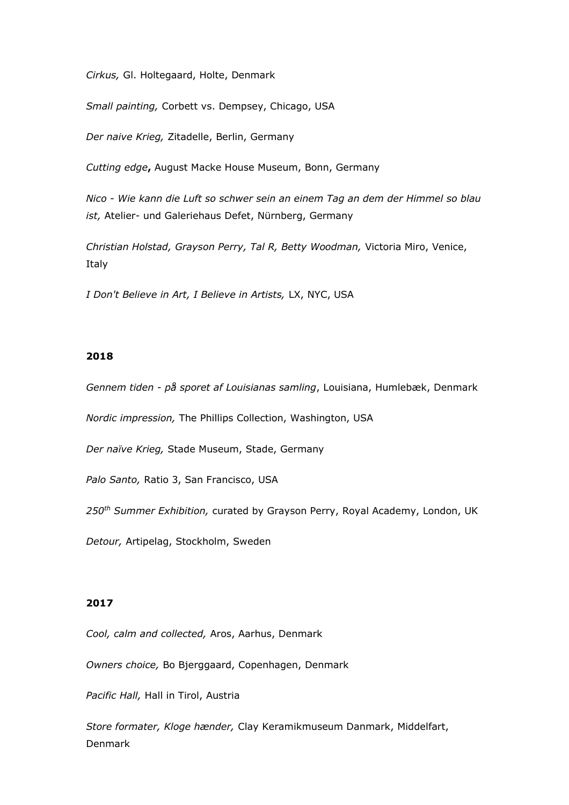*Cirkus,* Gl. Holtegaard, Holte, Denmark

*Small painting,* Corbett vs. Dempsey, Chicago, USA

*Der naive Krieg,* Zitadelle, Berlin, Germany

*Cutting edge***,** August Macke House Museum, Bonn, Germany

*Nico - Wie kann die Luft so schwer sein an einem Tag an dem der Himmel so blau ist,* Atelier- und Galeriehaus Defet, Nürnberg, Germany

*Christian Holstad, Grayson Perry, Tal R, Betty Woodman,* Victoria Miro, Venice, Italy

*I Don't Believe in Art, I Believe in Artists,* LX, NYC, USA

#### **2018**

*Gennem tiden - på sporet af Louisianas samling*, Louisiana, Humlebæk, Denmark

*Nordic impression,* The Phillips Collection, Washington, USA

*Der naïve Krieg,* Stade Museum, Stade, Germany

*Palo Santo,* Ratio 3, San Francisco, USA

*250th Summer Exhibition,* curated by Grayson Perry, Royal Academy, London, UK

*Detour,* Artipelag, Stockholm, Sweden

# **2017**

*Cool, calm and collected,* Aros, Aarhus, Denmark

*Owners choice,* Bo Bjerggaard, Copenhagen, Denmark

*Pacific Hall,* Hall in Tirol, Austria

*Store formater, Kloge hænder,* Clay Keramikmuseum Danmark, Middelfart, Denmark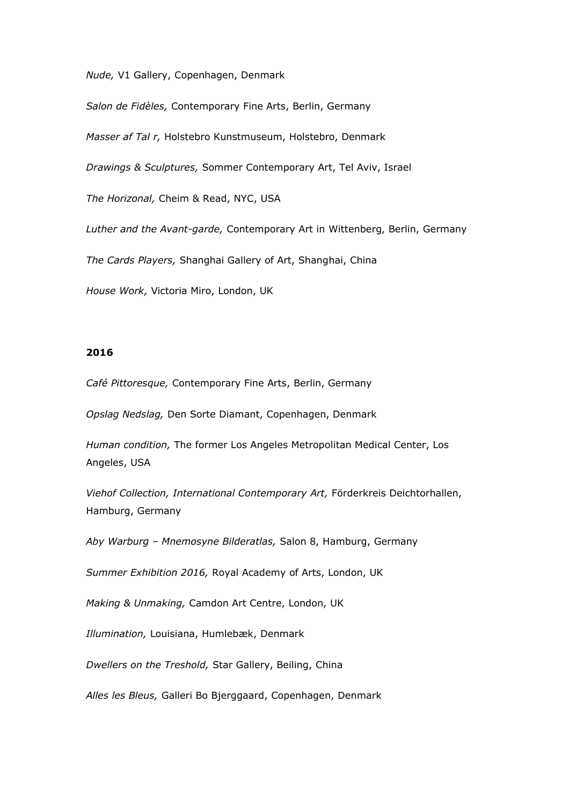*Nude,* V1 Gallery, Copenhagen, Denmark

*Salon de Fidèles,* Contemporary Fine Arts, Berlin, Germany

*Masser af Tal r,* Holstebro Kunstmuseum, Holstebro, Denmark

*Drawings & Sculptures,* Sommer Contemporary Art, Tel Aviv, Israel

*The Horizonal,* Cheim & Read, NYC, USA

*Luther and the Avant-garde,* Contemporary Art in Wittenberg, Berlin, Germany

*The Cards Players,* Shanghai Gallery of Art, Shanghai, China

*House Work,* Victoria Miro, London, UK

### **2016**

*Café Pittoresque,* Contemporary Fine Arts, Berlin, Germany

*Opslag Nedslag,* Den Sorte Diamant, Copenhagen, Denmark

*Human condition,* The former Los Angeles Metropolitan Medical Center, Los Angeles, USA

*Viehof Collection, International Contemporary Art,* Förderkreis Deichtorhallen, Hamburg, Germany

*Aby Warburg – Mnemosyne Bilderatlas,* Salon 8, Hamburg, Germany

*Summer Exhibition 2016,* Royal Academy of Arts, London, UK

*Making & Unmaking,* Camdon Art Centre, London, UK

*Illumination,* Louisiana, Humlebæk, Denmark

*Dwellers on the Treshold,* Star Gallery, Beiling, China

*Alles les Bleus,* Galleri Bo Bjerggaard, Copenhagen, Denmark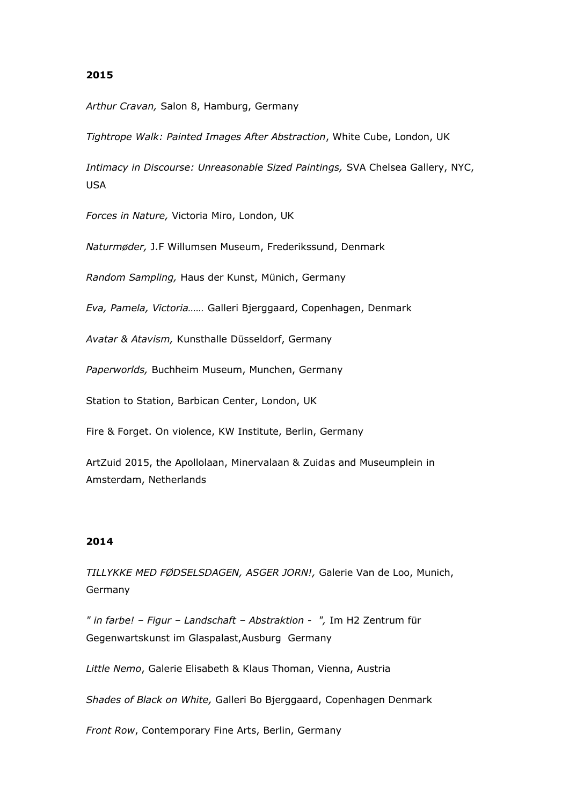*Arthur Cravan,* Salon 8, Hamburg, Germany

*Tightrope Walk: Painted Images After Abstraction*, White Cube, London, UK

*Intimacy in Discourse: Unreasonable Sized Paintings,* SVA Chelsea Gallery, NYC, USA

*Forces in Nature,* Victoria Miro, London, UK

*Naturmøder,* J.F Willumsen Museum, Frederikssund, Denmark

*Random Sampling,* Haus der Kunst, Münich, Germany

*Eva, Pamela, Victoria……* Galleri Bjerggaard, Copenhagen, Denmark

*Avatar & Atavism,* Kunsthalle Düsseldorf, Germany

*Paperworlds,* Buchheim Museum, Munchen, Germany

Station to Station, Barbican Center, London, UK

Fire & Forget. On violence, KW Institute, Berlin, Germany

ArtZuid 2015, the Apollolaan, Minervalaan & Zuidas and Museumplein in Amsterdam, Netherlands

# **2014**

*TILLYKKE MED FØDSELSDAGEN, ASGER JORN!,* Galerie Van de Loo, Munich, Germany

*" in farbe! – Figur – Landschaft – Abstraktion - ",* Im H2 Zentrum für Gegenwartskunst im Glaspalast,Ausburg Germany

*Little Nemo*, Galerie Elisabeth & Klaus Thoman, Vienna, Austria

*Shades of Black on White,* Galleri Bo Bjerggaard, Copenhagen Denmark

*Front Row*, Contemporary Fine Arts, Berlin, Germany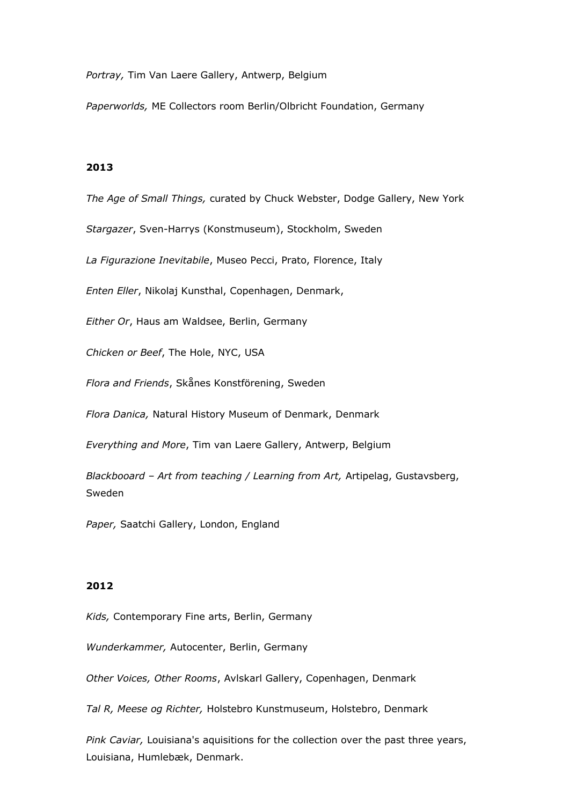*Portray,* Tim Van Laere Gallery, Antwerp, Belgium

*Paperworlds,* ME Collectors room Berlin/Olbricht Foundation, Germany

### **2013**

*The Age of Small Things,* curated by Chuck Webster, Dodge Gallery, New York

*Stargazer*, Sven-Harrys (Konstmuseum), Stockholm, Sweden

*La Figurazione Inevitabile*, Museo Pecci, Prato, Florence, Italy

*Enten Eller*, Nikolaj Kunsthal, Copenhagen, Denmark,

*Either Or*, Haus am Waldsee, Berlin, Germany

*Chicken or Beef*, The Hole, NYC, USA

*Flora and Friends*, Skånes Konstförening, Sweden

*Flora Danica,* Natural History Museum of Denmark, Denmark

*Everything and More*, Tim van Laere Gallery, Antwerp, Belgium

*Blackbooard – Art from teaching / Learning from Art,* Artipelag, Gustavsberg, Sweden

*Paper,* Saatchi Gallery, London, England

#### **2012**

*Kids,* Contemporary Fine arts, Berlin, Germany

*Wunderkammer,* Autocenter, Berlin, Germany

*Other Voices, Other Rooms*, Avlskarl Gallery, Copenhagen, Denmark

*Tal R, Meese og Richter,* Holstebro Kunstmuseum, Holstebro, Denmark

*Pink Caviar,* Louisiana's aquisitions for the collection over the past three years, Louisiana, Humlebæk, Denmark.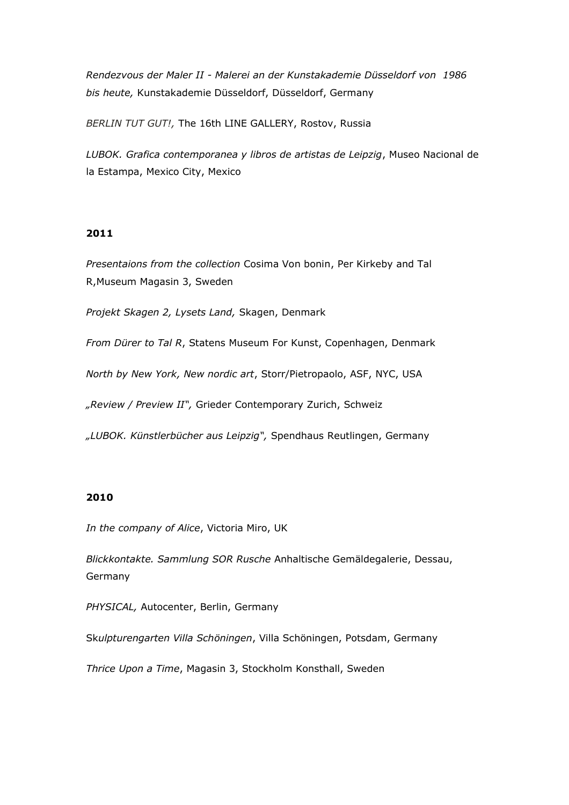*Rendezvous der Maler II - Malerei an der Kunstakademie Düsseldorf von 1986 bis heute,* Kunstakademie Düsseldorf, Düsseldorf, Germany

*BERLIN TUT GUT!,* The 16th LINE GALLERY, Rostov, Russia

*LUBOK. Grafica contemporanea y libros de artistas de Leipzig*, Museo Nacional de la Estampa, Mexico City, Mexico

### **2011**

*Presentaions from the collection* Cosima Von bonin, Per Kirkeby and Tal R,Museum Magasin 3, Sweden

*Projekt Skagen 2, Lysets Land,* Skagen, Denmark

*From Dürer to Tal R*, Statens Museum For Kunst, Copenhagen, Denmark

*North by New York, New nordic art*, Storr/Pietropaolo, ASF, NYC, USA

*"Review / Preview II",* Grieder Contemporary Zurich, Schweiz

*"LUBOK. Künstlerbücher aus Leipzig",* Spendhaus Reutlingen, Germany

# **2010**

*In the company of Alice*, Victoria Miro, UK

*Blickkontakte. Sammlung SOR Rusche* Anhaltische Gemäldegalerie, Dessau, Germany

*PHYSICAL,* Autocenter, Berlin, Germany

Sk*ulpturengarten Villa Schöningen*, Villa Schöningen, Potsdam, Germany

*[Thrice Upon a Time](http://www.kunstaspekte.de/index.php?tid=63892&action=termin)*[,](http://www.kunstaspekte.de/index.php?tid=63892&action=termin) Magasin 3, Stockholm Konsthall, Sweden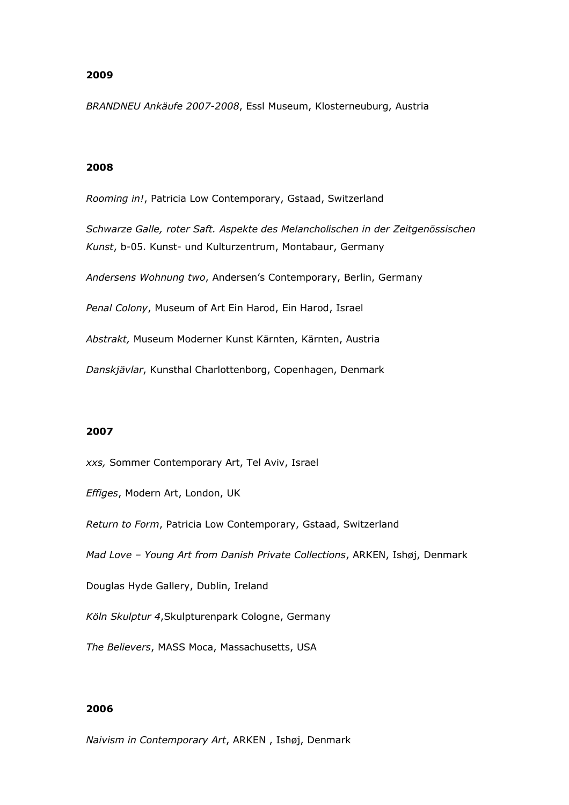*BRANDNEU Ankäufe 2007-2008*, Essl Museum, Klosterneuburg, Austria

### **2008**

*Rooming in!*, Patricia Low Contemporary, Gstaad, Switzerland

*Schwarze Galle, roter Saft. Aspekte des Melancholischen in der Zeitgenössischen Kunst*, b-05. Kunst- und Kulturzentrum, Montabaur, Germany

*Andersens Wohnung two*, Andersen's Contemporary, Berlin, Germany

*Penal Colony*, Museum of Art Ein Harod, Ein Harod, Israel

*Abstrakt,* Museum Moderner Kunst Kärnten, Kärnten, Austria

*Danskjävlar*, Kunsthal Charlottenborg, Copenhagen, Denmark

#### **2007**

*xxs,* Sommer Contemporary Art, Tel Aviv, Israel

*Effiges*, Modern Art, London, UK

*Return to Form*, Patricia Low Contemporary, Gstaad, Switzerland

*Mad Love – Young Art from Danish Private Collections*, ARKEN, Ishøj, Denmark

Douglas Hyde Gallery, Dublin, Ireland

*Köln Skulptur 4*,Skulpturenpark Cologne, Germany

*The Believers*, MASS Moca, Massachusetts, USA

### **2006**

*Naivism in Contemporary Art*, ARKEN , Ishøj, Denmark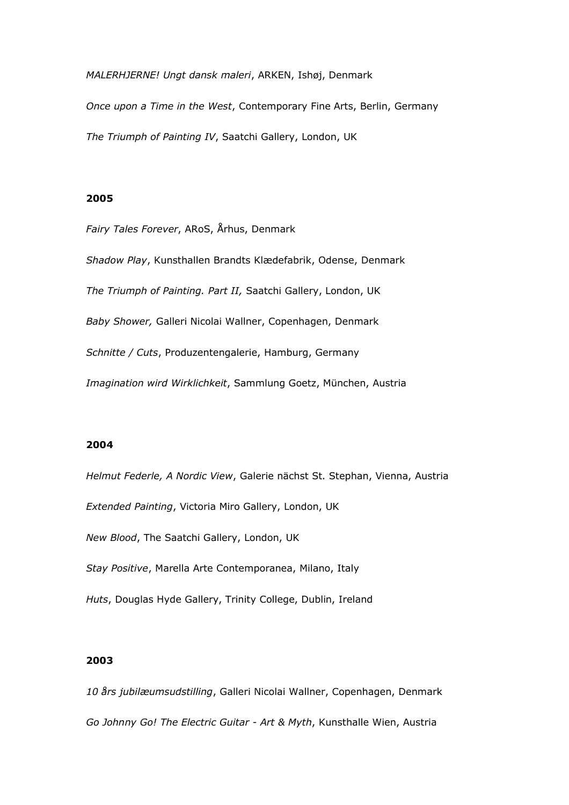*MALERHJERNE! Ungt dansk maleri*, ARKEN, Ishøj, Denmark

*Once upon a Time in the West*, Contemporary Fine Arts, Berlin, Germany *The Triumph of Painting IV*, Saatchi Gallery, London, UK

### **2005**

*Fairy Tales Forever*, ARoS, Århus, Denmark *Shadow Play*, Kunsthallen Brandts Klædefabrik, Odense, Denmark *The Triumph of Painting. Part II,* Saatchi Gallery, London, UK *Baby Shower,* Galleri Nicolai Wallner, Copenhagen, Denmark *Schnitte / Cuts*, Produzentengalerie, Hamburg, Germany *Imagination wird Wirklichkeit*, Sammlung Goetz, München, Austria

### **2004**

*Helmut Federle, A Nordic View*, Galerie nächst St. Stephan, Vienna, Austria *Extended Painting*, Victoria Miro Gallery, London, UK *New Blood*, The Saatchi Gallery, London, UK *Stay Positive*, Marella Arte Contemporanea, Milano, Italy *Huts*, Douglas Hyde Gallery, Trinity College, Dublin, Ireland

### **2003**

*10 års jubilæumsudstilling*, Galleri Nicolai Wallner, Copenhagen, Denmark *Go Johnny Go! The Electric Guitar - Art & Myth*, Kunsthalle Wien, Austria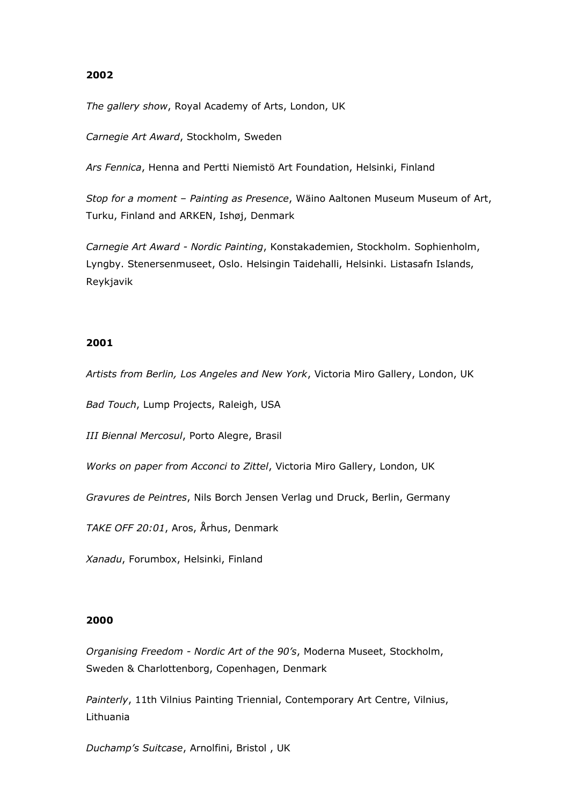*The gallery show*, Royal Academy of Arts, London, UK

*Carnegie Art Award*, Stockholm, Sweden

*Ars Fennica*, Henna and Pertti Niemistö Art Foundation, Helsinki, Finland

*Stop for a moment – Painting as Presence*, Wäino Aaltonen Museum Museum of Art, Turku, Finland and ARKEN, Ishøj, Denmark

*Carnegie Art Award - Nordic Painting*, Konstakademien, Stockholm. Sophienholm, Lyngby. Stenersenmuseet, Oslo. Helsingin Taidehalli, Helsinki. Listasafn Islands, Reykjavik

### **2001**

*Artists from Berlin, Los Angeles and New York*, Victoria Miro Gallery, London, UK

*Bad Touch*, Lump Projects, Raleigh, USA

*III Biennal Mercosul*, Porto Alegre, Brasil

*Works on paper from Acconci to Zittel*, Victoria Miro Gallery, London, UK

*Gravures de Peintres*, Nils Borch Jensen Verlag und Druck, Berlin, Germany

*TAKE OFF 20:01*, Aros, Århus, Denmark

*Xanadu*, Forumbox, Helsinki, Finland

#### **2000**

*Organising Freedom - Nordic Art of the 90's*, Moderna Museet, Stockholm, Sweden & Charlottenborg, Copenhagen, Denmark

*Painterly*, 11th Vilnius Painting Triennial, Contemporary Art Centre, Vilnius, Lithuania

*Duchamp's Suitcase*, Arnolfini, Bristol , UK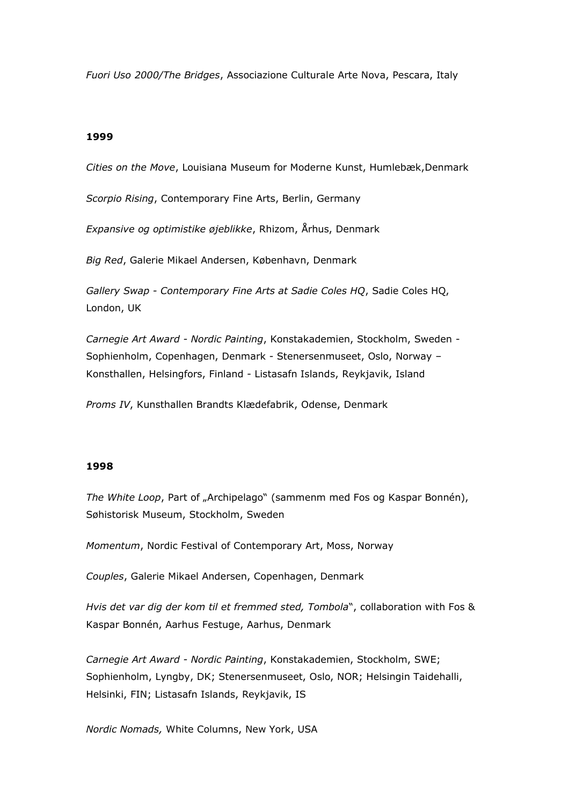*Fuori Uso 2000/The Bridges*, Associazione Culturale Arte Nova, Pescara, Italy

### **1999**

*Cities on the Move*, Louisiana Museum for Moderne Kunst, Humlebæk,Denmark

*Scorpio Rising*, Contemporary Fine Arts, Berlin, Germany

*Expansive og optimistike øjeblikke*, Rhizom, Århus, Denmark

*Big Red*, Galerie Mikael Andersen, København, Denmark

*Gallery Swap - Contemporary Fine Arts at Sadie Coles HQ*, Sadie Coles HQ, London, UK

*Carnegie Art Award - Nordic Painting*, Konstakademien, Stockholm, Sweden - Sophienholm, Copenhagen, Denmark - Stenersenmuseet, Oslo, Norway – Konsthallen, Helsingfors, Finland - Listasafn Islands, Reykjavik, Island

*Proms IV*, Kunsthallen Brandts Klædefabrik, Odense, Denmark

#### **1998**

*The White Loop*, Part of "Archipelago" (sammenm med Fos og Kaspar Bonnén), Søhistorisk Museum, Stockholm, Sweden

*Momentum*, Nordic Festival of Contemporary Art, Moss, Norway

*Couples*, Galerie Mikael Andersen, Copenhagen, Denmark

*Hvis det var dig der kom til et fremmed sted, Tombola*", collaboration with Fos & Kaspar Bonnén, Aarhus Festuge, Aarhus, Denmark

*Carnegie Art Award - Nordic Painting*, Konstakademien, Stockholm, SWE; Sophienholm, Lyngby, DK; Stenersenmuseet, Oslo, NOR; Helsingin Taidehalli, Helsinki, FIN; Listasafn Islands, Reykjavik, IS

*Nordic Nomads,* White Columns, New York, USA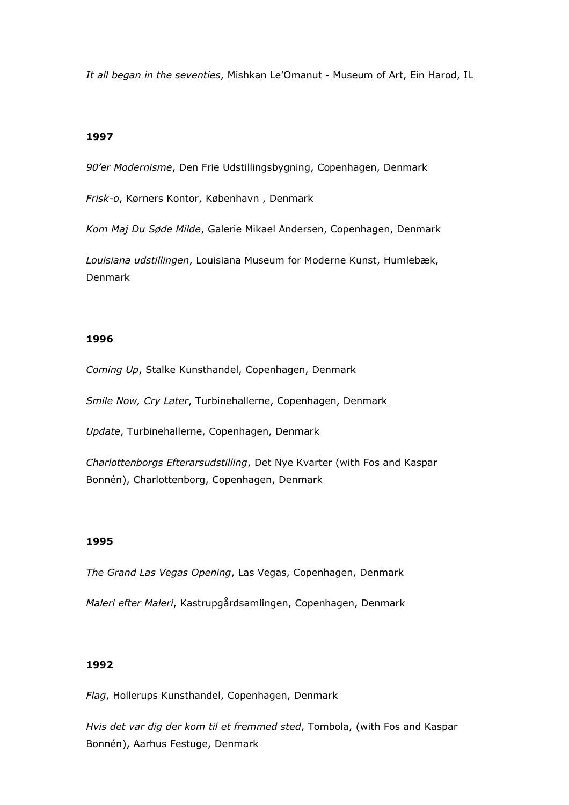*It all began in the seventies*, Mishkan Le'Omanut - Museum of Art, Ein Harod, IL

### **1997**

*90'er Modernisme*, Den Frie Udstillingsbygning, Copenhagen, Denmark

*Frisk-o*, Kørners Kontor, København , Denmark

*Kom Maj Du Søde Milde*, Galerie Mikael Andersen, Copenhagen, Denmark

*Louisiana udstillingen*, Louisiana Museum for Moderne Kunst, Humlebæk, Denmark

### **1996**

*Coming Up*, Stalke Kunsthandel, Copenhagen, Denmark

*Smile Now, Cry Later*, Turbinehallerne, Copenhagen, Denmark

*Update*, Turbinehallerne, Copenhagen, Denmark

*Charlottenborgs Efterarsudstilling*, Det Nye Kvarter (with Fos and Kaspar Bonnén), Charlottenborg, Copenhagen, Denmark

### **1995**

*The Grand Las Vegas Opening*, Las Vegas, Copenhagen, Denmark

*Maleri efter Maleri*, Kastrupgårdsamlingen, Copenhagen, Denmark

#### **1992**

*Flag*, Hollerups Kunsthandel, Copenhagen, Denmark

*Hvis det var dig der kom til et fremmed sted*, Tombola, (with Fos and Kaspar Bonnén), Aarhus Festuge, Denmark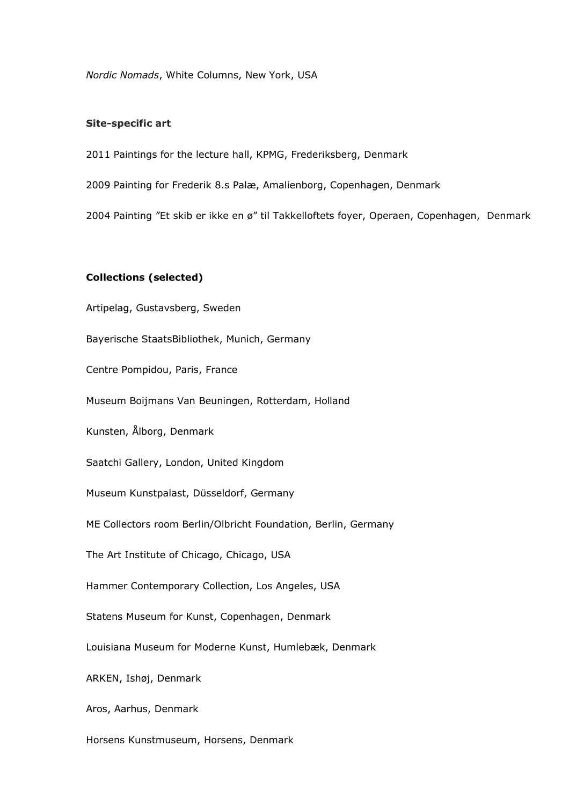*Nordic Nomads*, White Columns, New York, USA

### **Site-specific art**

2011 Paintings for the lecture hall, KPMG, Frederiksberg, Denmark

2009 Painting for Frederik 8.s Palæ, Amalienborg, Copenhagen, Denmark

2004 Painting "Et skib er ikke en ø" til Takkelloftets foyer, Operaen, Copenhagen, Denmark

### **Collections (selected)**

Artipelag, Gustavsberg, Sweden Bayerische StaatsBibliothek, Munich, Germany Centre Pompidou, Paris, France Museum Boijmans Van Beuningen, Rotterdam, Holland Kunsten, Ålborg, Denmark Saatchi Gallery, London, United Kingdom Museum Kunstpalast, Düsseldorf, Germany ME Collectors room Berlin/Olbricht Foundation, Berlin, Germany The Art Institute of Chicago, Chicago, USA Hammer Contemporary Collection, Los Angeles, USA Statens Museum for Kunst, Copenhagen, Denmark Louisiana Museum for Moderne Kunst, Humlebæk, Denmark ARKEN, Ishøj, Denmark Aros, Aarhus, Denmark

Horsens Kunstmuseum, Horsens, Denmark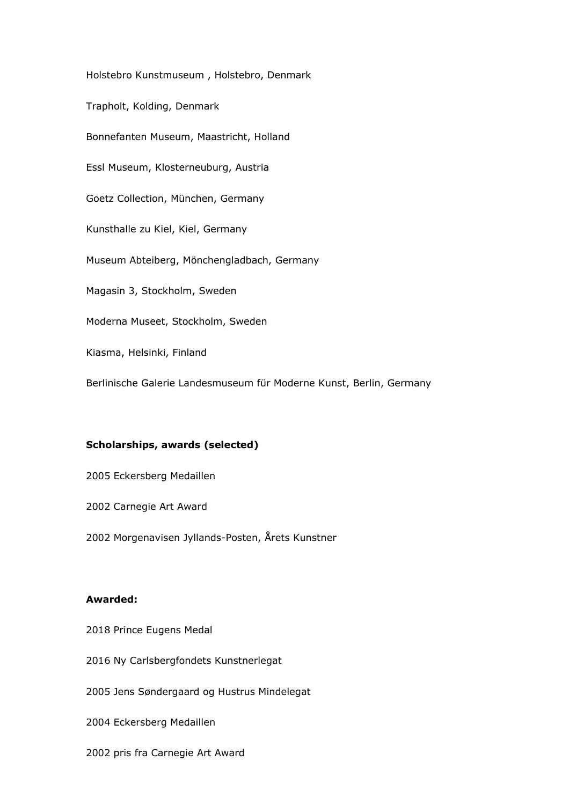Holstebro Kunstmuseum , Holstebro, Denmark Trapholt, Kolding, Denmark Bonnefanten Museum, Maastricht, Holland Essl Museum, Klosterneuburg, Austria Goetz Collection, München, Germany Kunsthalle zu Kiel, Kiel, Germany Museum Abteiberg, Mönchengladbach, Germany Magasin 3, Stockholm, Sweden Moderna Museet, Stockholm, Sweden Kiasma, Helsinki, Finland Berlinische Galerie Landesmuseum für Moderne Kunst, Berlin, Germany

# **Scholarships, awards (selected)**

2005 Eckersberg Medaillen

2002 Carnegie Art Award

2002 Morgenavisen Jyllands-Posten, Årets Kunstner

### **Awarded:**

2018 Prince Eugens Medal

2016 Ny Carlsbergfondets Kunstnerlegat

2005 Jens Søndergaard og Hustrus Mindelegat

2004 Eckersberg Medaillen

2002 pris fra Carnegie Art Award